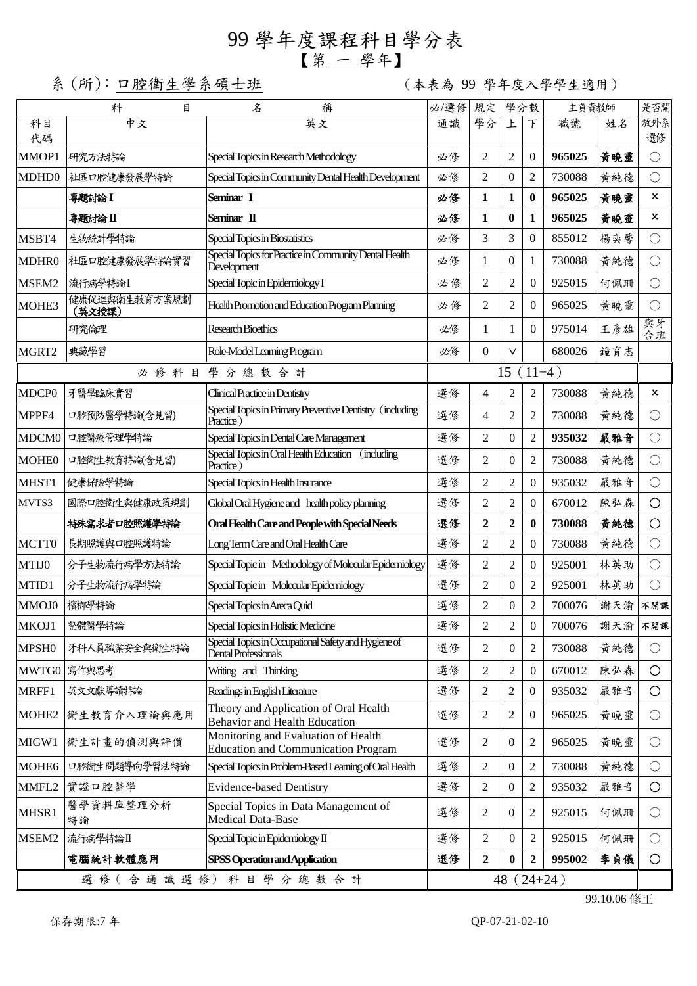## 99 學年度課程科目學分表 【第 一 學年】

系 (所): 口腔衛生學系碩士班 (本表為 99 學年度入學學生適用)

|                            | 科<br>目                  | 名<br>稱                                                                            | 必/選修 | 規定              |                  | 學分數              | 主負責教師  |     | 是否開        |
|----------------------------|-------------------------|-----------------------------------------------------------------------------------|------|-----------------|------------------|------------------|--------|-----|------------|
| 科目<br>代碼                   | 中文                      | 英文                                                                                | 通識   | 學分              | 上                | $\top$           | 職號     | 姓名  | 放外系<br>選修  |
| MMOP1                      | 研究方法特論                  | Special Topics in Research Methodology                                            | 必修   | 2               | $\overline{2}$   | $\Omega$         | 965025 | 黄曉靈 | $\bigcirc$ |
| MDHD0                      | 社區口腔健康發展學特論             | Special Topics in Community Dental Health Development                             | 必修   | $\overline{2}$  | $\theta$         | $\overline{2}$   | 730088 | 黄純德 | ( )        |
|                            | 專題討論 I                  | Seminar I                                                                         | 必修   | 1               | 1                | $\bf{0}$         | 965025 | 黄曉靈 | x          |
|                            | 專題討論Ⅱ                   | Seminar II                                                                        | 必修   | 1               | $\bf{0}$         | $\mathbf{1}$     | 965025 | 黄曉靈 | x          |
| MSBT4                      | 生物統計學特論                 | Special Topics in Biostatistics                                                   | 必修   | 3               | 3                | $\Omega$         | 855012 | 楊奕馨 | $\bigcirc$ |
| MDHR0                      | 社區口腔健康發展學特論實習           | Special Topics for Practice in Community Dental Health<br>Development             | 必修   | 1               | $\theta$         | 1                | 730088 | 黄純德 | $\bigcirc$ |
| MSEM2                      | 流行病學特論I                 | Special Topic in Epidemiology I                                                   |      | $\overline{2}$  | $\overline{2}$   | $\mathbf{0}$     | 925015 | 何佩珊 | $\bigcirc$ |
| MOHE3                      | 健康促進與衛生教育方案規劃<br>(英文授課) | Health Promotion and Education Program Planning                                   |      | 2               | $\overline{2}$   | $\Omega$         | 965025 | 黄曉靈 | $\bigcirc$ |
| 研究倫理<br>Research Bioethics |                         |                                                                                   | 必修   | 1               | 1                | $\Omega$         | 975014 | 王彦雄 | 與牙<br>合班   |
| MGRT2                      | 典範學習                    | Role-Model Learning Program                                                       | 必修   | $\Omega$        | V                |                  | 680026 | 鐘育志 |            |
|                            |                         | 必修科目學分總數合計                                                                        |      |                 |                  | $15(11+4)$       |        |     |            |
| MDCP <sub>0</sub>          | 牙醫學臨床實習                 | Clinical Practice in Dentistry                                                    | 選修   | $\overline{4}$  | $\overline{2}$   | 2                | 730088 | 黄純德 | ×          |
| MPPF4                      | 口腔預防醫學特論(含見習)           | Special Topics in Primary Preventive Dentistry (including<br>Practice)            | 選修   | $\overline{4}$  | $\overline{2}$   | 2                | 730088 | 黄純德 | $\bigcirc$ |
| MDCM0                      | 口腔醫療管理學特論               | Special Topics in Dental Care Management                                          | 選修   | $\overline{2}$  | $\Omega$         | $\overline{2}$   | 935032 | 嚴雅音 | $\bigcirc$ |
| <b>MOHE0</b>               | 口腔衛生教育特論(含見習)           | Special Topics in Oral Health Education (including<br>Practice)                   | 選修   | 2               | $\theta$         | $\overline{2}$   | 730088 | 黄純德 | $\bigcirc$ |
| MHST1                      | 健康保險學特論                 | Special Topics in Health Insurance                                                | 選修   | 2               | $\overline{2}$   | $\Omega$         | 935032 | 嚴雅音 | $\bigcirc$ |
| MVTS3                      | 國際口腔衛生與健康政策規劃           | Global Oral Hygiene and health policy planning                                    | 選修   | $\overline{2}$  | $\overline{c}$   | $\overline{0}$   | 670012 | 陳弘森 | $\bigcirc$ |
|                            | 特殊需求者口腔照護學特論            | Oral Health Care and People with Special Needs                                    | 選修   | $\overline{2}$  | $\boldsymbol{2}$ | $\bf{0}$         | 730088 | 黄純德 | $\circ$    |
| MCTT0                      | 長期照護與口腔照護特論             | Long Term Care and Oral Health Care                                               | 選修   | $\overline{c}$  | $\overline{2}$   | $\overline{0}$   | 730088 | 黄純德 | $\bigcirc$ |
| MTIJ0                      | 分子生物流行病學方法特論            | Special Topic in Methodology of Molecular Epidemiology                            | 選修   | $\overline{2}$  | $\overline{2}$   | $\Omega$         | 925001 | 林英助 | $\bigcirc$ |
| MTID1                      | 分子生物流行病學特論              | Special Topic in Molecular Epidemiology                                           | 選修   | $\overline{2}$  | $\mathbf{0}$     | $\overline{c}$   | 925001 | 林英助 |            |
| MMOJ0                      | 檳榔學特論                   | Special Topics in Areca Quid                                                      | 選修   | $\overline{2}$  | $\mathbf{0}$     | $\overline{2}$   | 700076 | 謝天渝 | 不開課        |
| MKOJ1                      | 整體醫學特論                  | Special Topics in Holistic Medicine                                               | 選修   | 2               | $\overline{2}$   | $\boldsymbol{0}$ | 700076 | 謝天渝 | 不開課        |
| MPSH <sub>0</sub>          | 牙科人員職業安全與衛生特論           | Special Topics in Occupational Safety and Hygiene of<br>Dental Professionals      | 選修   | 2               | $\overline{0}$   | 2                | 730088 | 黃純德 | $\bigcirc$ |
|                            | MWTG0 寫作與思考             | Writing and Thinking                                                              | 選修   | $\sqrt{2}$      | $\boldsymbol{2}$ | $\mathbf{0}$     | 670012 | 陳弘森 | $\circ$    |
| MRFF1                      | 英文文獻導讀特論                | Readings in English Literature                                                    | 選修   | $\overline{2}$  | $\overline{2}$   | $\mathbf{0}$     | 935032 | 嚴雅音 | $\circ$    |
| MOHE2                      | 衛生教育介入理論與應用             | Theory and Application of Oral Health<br><b>Behavior and Health Education</b>     | 選修   | 2               | 2                | $\theta$         | 965025 | 黃曉靈 | $\bigcirc$ |
| MIGW1                      | 衛生計畫的偵測與評價              | Monitoring and Evaluation of Health<br><b>Education and Communication Program</b> | 選修   | 2               | $\theta$         | 2                | 965025 | 黄曉靈 | $\bigcirc$ |
| MOHE <sub>6</sub>          | 口腔衛生問題導向學習法特論           | Special Topics in Problem-Based Learning of Oral Health                           | 選修   | 2               | $\boldsymbol{0}$ | 2                | 730088 | 黃純德 | $\bigcirc$ |
| MMFL2                      | 實證口腔醫學                  | <b>Evidence-based Dentistry</b>                                                   | 選修   | 2               | $\theta$         | 2                | 935032 | 嚴雅音 | $\circ$    |
| MHSR1                      | 醫學資料庫整理分析<br>特論         | Special Topics in Data Management of<br>Medical Data-Base                         | 選修   | 2               | $\theta$         | 2                | 925015 | 何佩珊 | $\bigcirc$ |
| MSEM2                      | 流行病學特論I                 | Special Topic in Epidemiology II                                                  | 選修   | $\overline{2}$  | $\overline{0}$   | 2                | 925015 | 何佩珊 | $\bigcirc$ |
|                            | 電腦統計軟體應用                | SPSS Operation and Application                                                    | 選修   | $\overline{2}$  | $\mathbf{0}$     | $\mathbf{2}$     | 995002 | 李貞儀 | $\bigcirc$ |
| 選修(含通識選修)科目學分總數合計          |                         |                                                                                   |      | 48<br>$(24+24)$ |                  |                  |        |     |            |

99.10.06 修正